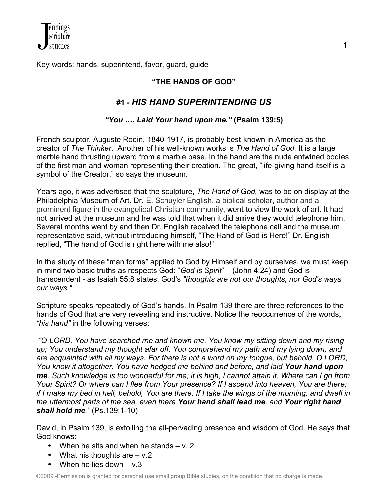

Key words: hands, superintend, favor, guard, guide

# **"THE HANDS OF GOD"**

# **#1 -** *HIS HAND SUPERINTENDING US*

### *"You …. Laid Your hand upon me."* **(Psalm 139:5)**

French sculptor, Auguste Rodin, 1840-1917, is probably best known in America as the creator of *The Thinker*. Another of his well-known works is *The Hand of God.* It is a large marble hand thrusting upward from a marble base. In the hand are the nude entwined bodies of the first man and woman representing their creation. The great, "life-giving hand itself is a symbol of the Creator," so says the museum.

Years ago, it was advertised that the sculpture, *The Hand of God,* was to be on display at the Philadelphia Museum of Art. Dr. E. Schuyler English, a biblical scholar, author and a prominent figure in the evangelical Christian community, went to view the work of art. It had not arrived at the museum and he was told that when it did arrive they would telephone him. Several months went by and then Dr. English received the telephone call and the museum representative said, without introducing himself, "The Hand of God is Here!" Dr. English replied, "The hand of God is right here with me also!"

In the study of these "man forms" applied to God by Himself and by ourselves, we must keep in mind two basic truths as respects God: "*God is Spirit*" – (John 4:24) and God is transcendent - as Isaiah 55:8 states, God's *"thoughts are not our thoughts, nor God's ways our ways."*

Scripture speaks repeatedly of God's hands. In Psalm 139 there are three references to the hands of God that are very revealing and instructive. Notice the reoccurrence of the words, *"his hand"* in the following verses:

*"O LORD, You have searched me and known me. You know my sitting down and my rising*  up; You understand my thought afar off. You comprehend my path and my lying down, and *are acquainted with all my ways. For there is not a word on my tongue, but behold, O LORD, You know it altogether. You have hedged me behind and before, and laid Your hand upon me. Such knowledge is too wonderful for me; it is high, I cannot attain it. Where can I go from Your Spirit? Or where can I flee from Your presence? If I ascend into heaven, You are there; if I make my bed in hell, behold, You are there. If I take the wings of the morning, and dwell in the uttermost parts of the sea, even there Your hand shall lead me, and Your right hand shall hold me."* (Ps.139:1-10)

David, in Psalm 139, is extolling the all-pervading presence and wisdom of God. He says that God knows:

- When he sits and when he stands  $v. 2$
- What his thoughts are  $v.2$
- When he lies down  $v.3$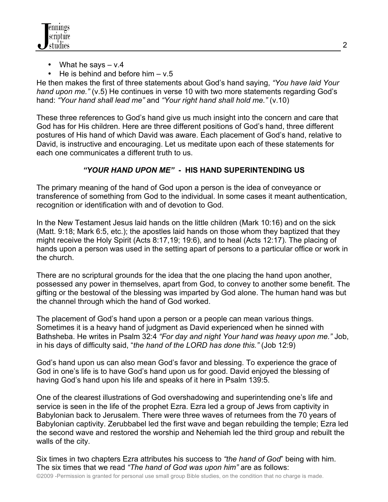

- What he says  $v.4$
- He is behind and before him  $v.5$

He then makes the first of three statements about God's hand saying, *"You have laid Your hand upon me."* (v.5) He continues in verse 10 with two more statements regarding God's hand: *"Your hand shall lead me"* and *"Your right hand shall hold me."* (v.10)

These three references to God's hand give us much insight into the concern and care that God has for His children. Here are three different positions of God's hand, three different postures of His hand of which David was aware. Each placement of God's hand, relative to David, is instructive and encouraging. Let us meditate upon each of these statements for each one communicates a different truth to us.

# *"YOUR HAND UPON ME"* **- HIS HAND SUPERINTENDING US**

The primary meaning of the hand of God upon a person is the idea of conveyance or transference of something from God to the individual. In some cases it meant authentication, recognition or identification with and of devotion to God.

In the New Testament Jesus laid hands on the little children (Mark 10:16) and on the sick (Matt. 9:18; Mark 6:5, etc.); the apostles laid hands on those whom they baptized that they might receive the Holy Spirit (Acts 8:17,19; 19:6), and to heal (Acts 12:17). The placing of hands upon a person was used in the setting apart of persons to a particular office or work in the church.

There are no scriptural grounds for the idea that the one placing the hand upon another, possessed any power in themselves, apart from God, to convey to another some benefit. The gifting or the bestowal of the blessing was imparted by God alone. The human hand was but the channel through which the hand of God worked.

The placement of God's hand upon a person or a people can mean various things. Sometimes it is a heavy hand of judgment as David experienced when he sinned with Bathsheba. He writes in Psalm 32:4 *"For day and night Your hand was heavy upon me."* Job, in his days of difficulty said, "*the hand of the LORD has done this."* (Job 12:9)

God's hand upon us can also mean God's favor and blessing. To experience the grace of God in one's life is to have God's hand upon us for good. David enjoyed the blessing of having God's hand upon his life and speaks of it here in Psalm 139:5.

One of the clearest illustrations of God overshadowing and superintending one's life and service is seen in the life of the prophet Ezra. Ezra led a group of Jews from captivity in Babylonian back to Jerusalem. There were three waves of returnees from the 70 years of Babylonian captivity. Zerubbabel led the first wave and began rebuilding the temple; Ezra led the second wave and restored the worship and Nehemiah led the third group and rebuilt the walls of the city.

©2009 -Permission is granted for personal use small group Bible studies, on the condition that no charge is made. Six times in two chapters Ezra attributes his success to *"the hand of God*" being with him. The six times that we read *"The hand of God was upon him"* are as follows: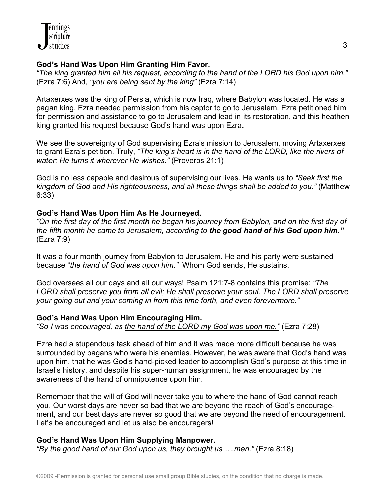# **God's Hand Was Upon Him Granting Him Favor.**

*"The king granted him all his request, according to the hand of the LORD his God upon him."* (Ezra 7:6) And, *"you are being sent by the king"* (Ezra 7:14)

Artaxerxes was the king of Persia, which is now Iraq, where Babylon was located. He was a pagan king. Ezra needed permission from his captor to go to Jerusalem. Ezra petitioned him for permission and assistance to go to Jerusalem and lead in its restoration, and this heathen king granted his request because God's hand was upon Ezra.

We see the sovereignty of God supervising Ezra's mission to Jerusalem, moving Artaxerxes to grant Ezra's petition. Truly, *"The king's heart is in the hand of the LORD, like the rivers of water; He turns it wherever He wishes."* (Proverbs 21:1)

God is no less capable and desirous of supervising our lives. He wants us to *"Seek first the kingdom of God and His righteousness, and all these things shall be added to you."* (Matthew 6:33)

# **God's Hand Was Upon Him As He Journeyed.**

*"On the first day of the first month he began his journey from Babylon, and on the first day of the fifth month he came to Jerusalem, according to the good hand of his God upon him."* (Ezra 7:9)

It was a four month journey from Babylon to Jerusalem. He and his party were sustained because "*the hand of God was upon him."* Whom God sends, He sustains.

God oversees all our days and all our ways! Psalm 121:7-8 contains this promise: *"The LORD shall preserve you from all evil; He shall preserve your soul. The LORD shall preserve your going out and your coming in from this time forth, and even forevermore."*

# **God's Hand Was Upon Him Encouraging Him.**

*"So I was encouraged, as the hand of the LORD my God was upon me."* (Ezra 7:28)

Ezra had a stupendous task ahead of him and it was made more difficult because he was surrounded by pagans who were his enemies. However, he was aware that God's hand was upon him, that he was God's hand-picked leader to accomplish God's purpose at this time in Israel's history, and despite his super-human assignment, he was encouraged by the awareness of the hand of omnipotence upon him.

Remember that the will of God will never take you to where the hand of God cannot reach you. Our worst days are never so bad that we are beyond the reach of God's encouragement, and our best days are never so good that we are beyond the need of encouragement. Let's be encouraged and let us also be encouragers!

#### **God's Hand Was Upon Him Supplying Manpower.** *"By the good hand of our God upon us, they brought us ….men."* (Ezra 8:18)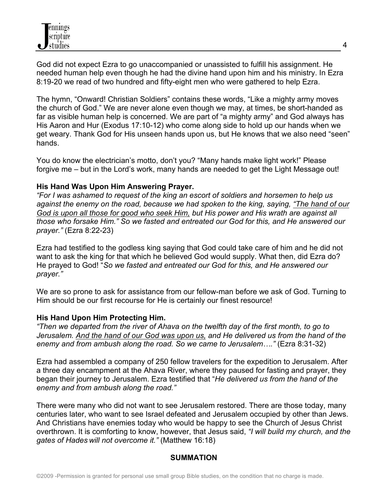God did not expect Ezra to go unaccompanied or unassisted to fulfill his assignment. He needed human help even though he had the divine hand upon him and his ministry. In Ezra 8:19-20 we read of two hundred and fifty-eight men who were gathered to help Ezra.

The hymn, "Onward! Christian Soldiers" contains these words, "Like a mighty army moves the church of God." We are never alone even though we may, at times, be short-handed as far as visible human help is concerned. We are part of "a mighty army" and God always has His Aaron and Hur (Exodus 17:10-12) who come along side to hold up our hands when we get weary. Thank God for His unseen hands upon us, but He knows that we also need "seen" hands.

You do know the electrician's motto, don't you? "Many hands make light work!" Please forgive me – but in the Lord's work, many hands are needed to get the Light Message out!

### **His Hand Was Upon Him Answering Prayer.**

*"For I was ashamed to request of the king an escort of soldiers and horsemen to help us against the enemy on the road, because we had spoken to the king, saying, "The hand of our God is upon all those for good who seek Him, but His power and His wrath are against all those who forsake Him." So we fasted and entreated our God for this, and He answered our prayer."* (Ezra 8:22-23)

Ezra had testified to the godless king saying that God could take care of him and he did not want to ask the king for that which he believed God would supply. What then, did Ezra do? He prayed to God! "*So we fasted and entreated our God for this, and He answered our prayer."*

We are so prone to ask for assistance from our fellow-man before we ask of God. Turning to Him should be our first recourse for He is certainly our finest resource!

# **His Hand Upon Him Protecting Him.**

*"Then we departed from the river of Ahava on the twelfth day of the first month, to go to Jerusalem. And the hand of our God was upon us, and He delivered us from the hand of the enemy and from ambush along the road. So we came to Jerusalem…."* (Ezra 8:31-32)

Ezra had assembled a company of 250 fellow travelers for the expedition to Jerusalem. After a three day encampment at the Ahava River, where they paused for fasting and prayer, they began their journey to Jerusalem. Ezra testified that "*He delivered us from the hand of the enemy and from ambush along the road."*

There were many who did not want to see Jerusalem restored. There are those today, many centuries later, who want to see Israel defeated and Jerusalem occupied by other than Jews. And Christians have enemies today who would be happy to see the Church of Jesus Christ overthrown. It is comforting to know, however, that Jesus said, *"I will build my church, and the gates of Hades will not overcome it."* (Matthew 16:18)

# **SUMMATION**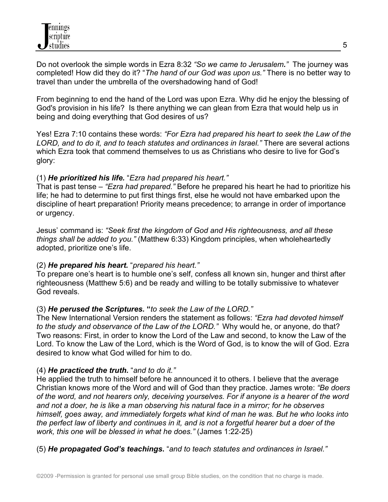Do not overlook the simple words in Ezra 8:32 *"So we came to Jerusalem."* The journey was completed! How did they do it? "*The hand of our God was upon us."* There is no better way to travel than under the umbrella of the overshadowing hand of God!

From beginning to end the hand of the Lord was upon Ezra. Why did he enjoy the blessing of God's provision in his life? Is there anything we can glean from Ezra that would help us in being and doing everything that God desires of us?

Yes! Ezra 7:10 contains these words: *"For Ezra had prepared his heart to seek the Law of the LORD, and to do it, and to teach statutes and ordinances in Israel."* There are several actions which Ezra took that commend themselves to us as Christians who desire to live for God's glory:

### (1) *He prioritized his life.* "*Ezra had prepared his heart."*

That is past tense – *"Ezra had prepared."* Before he prepared his heart he had to prioritize his life; he had to determine to put first things first, else he would not have embarked upon the discipline of heart preparation! Priority means precedence; to arrange in order of importance or urgency.

Jesus' command is: *"Seek first the kingdom of God and His righteousness, and all these things shall be added to you."* (Matthew 6:33) Kingdom principles, when wholeheartedly adopted, prioritize one's life.

# (2) *He prepared his heart.* "*prepared his heart."*

To prepare one's heart is to humble one's self, confess all known sin, hunger and thirst after righteousness (Matthew 5:6) and be ready and willing to be totally submissive to whatever God reveals.

# (3) *He perused the Scriptures.* **"***to seek the Law of the LORD."*

The New International Version renders the statement as follows: *"Ezra had devoted himself to the study and observance of the Law of the LORD."* Why would he, or anyone, do that? Two reasons: First, in order to know the Lord of the Law and second, to know the Law of the Lord. To know the Law of the Lord, which is the Word of God, is to know the will of God. Ezra desired to know what God willed for him to do.

# (4) *He practiced the truth.* "*and to do it."*

He applied the truth to himself before he announced it to others. I believe that the average Christian knows more of the Word and will of God than they practice. James wrote: *"Be doers of the word, and not hearers only, deceiving yourselves. For if anyone is a hearer of the word and not a doer, he is like a man observing his natural face in a mirror; for he observes himself, goes away, and immediately forgets what kind of man he was. But he who looks into the perfect law of liberty and continues in it, and is not a forgetful hearer but a doer of the work, this one will be blessed in what he does."* (James 1:22-25)

(5) *He propagated God's teachings***.** "*and to teach statutes and ordinances in Israel."*